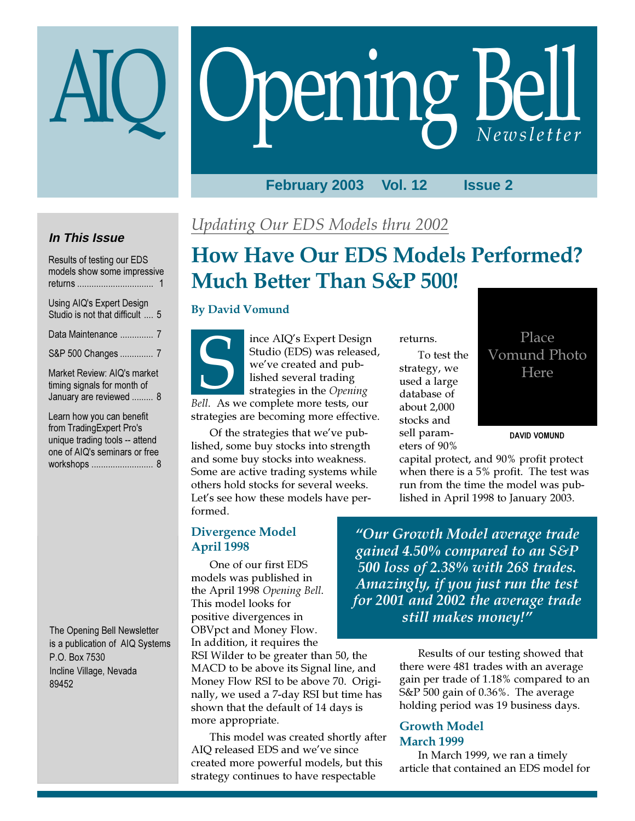# Opening Bell

#### **February 2003 Vol. 12 Issue 2**

## **In This Issue**

| Results of testing our EDS<br>models show some impressive<br>returns                  |
|---------------------------------------------------------------------------------------|
| Using AIQ's Expert Design<br>Studio is not that difficult  5                          |
| Data Maintenance  7                                                                   |
| S&P 500 Changes  7                                                                    |
| Market Review: AIQ's market<br>timing signals for month of<br>January are reviewed  8 |
| Learn how you can benefit<br>from TradingExpert Pro's                                 |

from TradingExpert Pro's unique trading tools -- attend one of AIQ's seminars or free workshops .......................... 8

The Opening Bell Newsletter is a publication of AIQ Systems P.O. Box 7530 Incline Village, Nevada 89452

## Updating Our EDS Models thru 2002

## How Have Our EDS Models Performed? Much Better Than S&P 500!

#### By David Vomund

ince AIQ's Expert Design Studio (EDS) was released, we've created and published several trading strategies in the Opening Studio (EDS) was release<br>we've created and pub-<br>lished several trading<br>strategies in the Opening<br>Bell. As we complete more tests, our strategies are becoming more effective.

Of the strategies that we've published, some buy stocks into strength and some buy stocks into weakness. Some are active trading systems while others hold stocks for several weeks. Let's see how these models have performed.

returns.

To test the strategy, we used a large database of about 2,000 stocks and sell parameters of 90%

capital protect, and 90% profit protect when there is a 5% profit. The test was run from the time the model was pub-DAVID VOMUND

lished in April 1998 to January 2003.

Divergence Model April 1998

One of our first EDS models was published in the April 1998 Opening Bell. This model looks for positive divergences in OBVpct and Money Flow. In addition, it requires the

RSI Wilder to be greater than 50, the MACD to be above its Signal line, and Money Flow RSI to be above 70. Originally, we used a 7-day RSI but time has shown that the default of 14 days is more appropriate.

This model was created shortly after AIQ released EDS and we've since created more powerful models, but this strategy continues to have respectable

"Our Growth Model average trade gained 4.50% compared to an S&P 500 loss of 2.38% with 268 trades. Amazingly, if you just run the test for 2001 and 2002 the average trade still makes money!"

> Results of our testing showed that there were 481 trades with an average gain per trade of 1.18% compared to an S&P 500 gain of 0.36%. The average holding period was 19 business days.

#### Growth Model March 1999

In March 1999, we ran a timely article that contained an EDS model for

Place Vomund Photo Here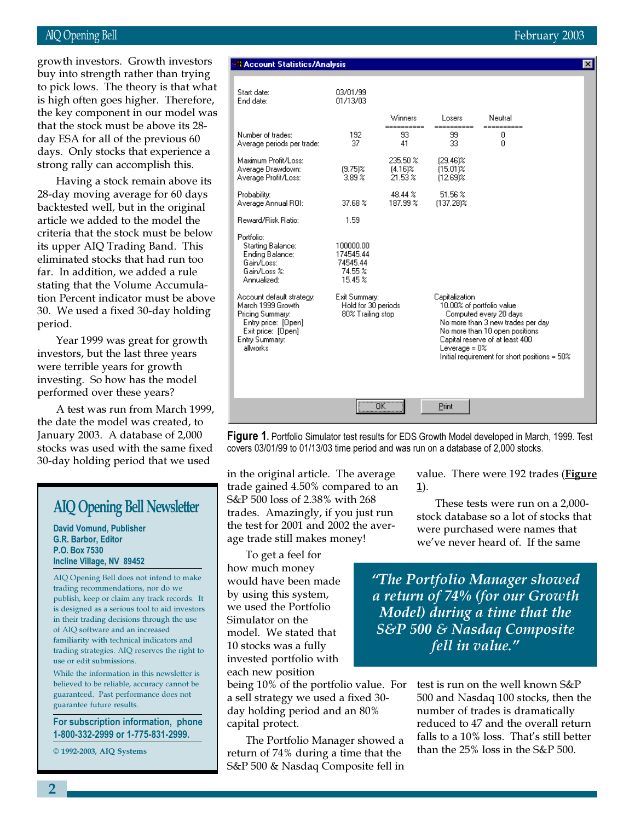#### AIQ Opening Bell February 2003

is high often goes higher. Therefore, growth investors. Growth investors buy into strength rather than trying to pick lows. The theory is that what the key component in our model was that the stock must be above its 28 day ESA for all of the previous 60 days. Only stocks that experience a strong rally can accomplish this.

Having a stock remain above its 28-day moving average for 60 days backtested well, but in the original article we added to the model the criteria that the stock must be below its upper AIQ Trading Band. This eliminated stocks that had run too far. In addition, we added a rule stating that the Volume Accumulation Percent indicator must be above 30. We used a fixed 30-day holding period.

Year 1999 was great for growth investors, but the last three years were terrible years for growth investing. So how has the model performed over these years?

A test was run from March 1999, the date the model was created, to January 2003. A database of 2,000 stocks was used with the same fixed 30-day holding period that we used

## AIQ Opening Bell Newsletter

David Vomund, Publisher G.R. Barbor, Editor P.O. Box 7530 Incline Village, NV 89452

AIQ Opening Bell does not intend to make trading recommendations, nor do we publish, keep or claim any track records. It is designed as a serious tool to aid investors in their trading decisions through the use of AIQ software and an increased familiarity with technical indicators and trading strategies. AIQ reserves the right to use or edit submissions.

While the information in this newsletter is believed to be reliable, accuracy cannot be guaranteed. Past performance does not guarantee future results.

For subscription information, phone 1-800-332-2999 or 1-775-831-2999.

© 1992-2003, AIQ Systems

#### **BA** Account Statistics/Analysis

| Start date:<br>End date:                                                                                                                      | 03/01/99<br>01/13/03                                      |                                     |                                                                                                                                                                                                                                                         |                       |  |
|-----------------------------------------------------------------------------------------------------------------------------------------------|-----------------------------------------------------------|-------------------------------------|---------------------------------------------------------------------------------------------------------------------------------------------------------------------------------------------------------------------------------------------------------|-----------------------|--|
|                                                                                                                                               |                                                           | Winners                             | Losers                                                                                                                                                                                                                                                  | Neutral               |  |
| Number of trades:<br>Average periods per trade:                                                                                               | 192<br>37                                                 | -----------<br>93<br>41             | ==========<br>99<br>33                                                                                                                                                                                                                                  | -----------<br>0<br>0 |  |
| Maximum Profit/Loss:<br>Average Drawdown:<br>Average Profit/Loss:                                                                             | $(9.75)$ %<br>$3.89\%$                                    | 235.50 %<br>$[4.16]$ %<br>$21.53\%$ | $[29.46]$ %<br>$(15.01)\%$<br>$[12.69]$ %                                                                                                                                                                                                               |                       |  |
| Probability:<br>Average Annual ROI:                                                                                                           | 37.68 %                                                   | 48.44 %<br>187.99 %                 | 51.56 %<br>$[137.28]$ %                                                                                                                                                                                                                                 |                       |  |
| Reward/Risk Ratio:                                                                                                                            | 1.59                                                      |                                     |                                                                                                                                                                                                                                                         |                       |  |
| Portfolio:<br>Starting Balance:<br>Ending Balance:<br>Gain/Loss:<br>Gain/Loss %:<br>Annualized:                                               | 100000.00<br>174545.44<br>74545.44<br>74.55 %<br>15.45 %  |                                     |                                                                                                                                                                                                                                                         |                       |  |
| Account default strategy:<br>March 1999 Growth<br>Pricing Summary:<br>Entry price: [Open]<br>Exit price: [Open]<br>Entry Summary:<br>allworks | Exit Summary:<br>Hold for 30 periods<br>80% Trailing stop |                                     | Capitalization<br>10.00% of portfolio value<br>Computed every 20 days<br>No more than 3 new trades per day<br>No more than 10 open positions<br>Capital reserve of at least 400<br>Leverage = $0\%$<br>Initial requirement for short positions = $50\%$ |                       |  |
|                                                                                                                                               | $\overline{\overline{\text{OK}}}$                         |                                     | Print                                                                                                                                                                                                                                                   |                       |  |

**Figure 1.** Portfolio Simulator test results for EDS Growth Model developed in March, 1999. Test covers 03/01/99 to 01/13/03 time period and was run on a database of 2,000 stocks.

in the original article. The average trade gained 4.50% compared to an S&P 500 loss of 2.38% with 268 trades. Amazingly, if you just run the test for 2001 and 2002 the average trade still makes money!

To get a feel for how much money would have been made by using this system, we used the Portfolio Simulator on the model. We stated that 10 stocks was a fully invested portfolio with each new position

being 10% of the portfolio value. For a sell strategy we used a fixed 30 day holding period and an 80% capital protect.

The Portfolio Manager showed a return of 74% during a time that the S&P 500 & Nasdaq Composite fell in

value. There were 192 trades (Figure 1).

These tests were run on a 2,000 stock database so a lot of stocks that were purchased were names that we've never heard of. If the same

"The Portfolio Manager showed a return of 74% (for our Growth Model) during a time that the S&P 500 & Nasdaq Composite fell in value."

> test is run on the well known S&P 500 and Nasdaq 100 stocks, then the number of trades is dramatically reduced to 47 and the overall return falls to a 10% loss. That's still better than the 25% loss in the S&P 500.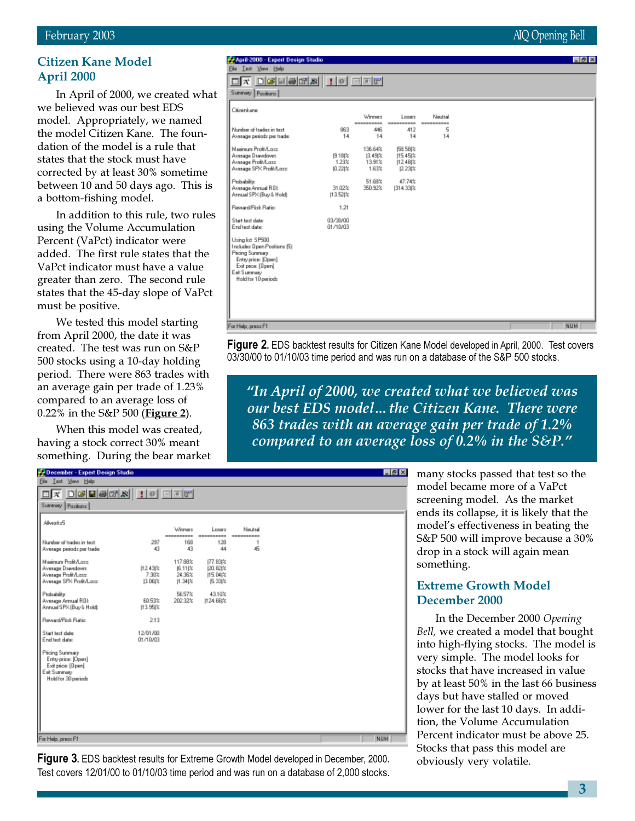#### Citizen Kane Model April 2000

In April of 2000, we created what we believed was our best EDS model. Appropriately, we named the model Citizen Kane. The foundation of the model is a rule that states that the stock must have corrected by at least 30% sometime between 10 and 50 days ago. This is a bottom-fishing model.

In addition to this rule, two rules using the Volume Accumulation Percent (VaPct) indicator were added. The first rule states that the VaPct indicator must have a value greater than zero. The second rule states that the 45-day slope of VaPct must be positive.

We tested this model starting from April 2000, the date it was created. The test was run on S&P 500 stocks using a 10-day holding period. There were 863 trades with an average gain per trade of 1.23% compared to an average loss of 0.22% in the S&P 500 (**Figure 2**).

When this model was created, having a stock correct 30% meant something. During the bear market

## **P. April 2000 - Expert Design Studio**

| <u>deems io eer</u><br>∏⊠<br>Winner<br>Neutral<br>Losers<br>----------<br><br>----------<br>5<br>883<br>446<br>412<br>14<br>14<br>14<br>14<br>136.64%<br><b>158.58(%)</b><br>图1例2<br>[149] 2<br>115.45 %<br>1.23%<br>13.91%<br> 1248 2<br>0.22(%)<br>1.63%<br>12.23(%) |  |
|------------------------------------------------------------------------------------------------------------------------------------------------------------------------------------------------------------------------------------------------------------------------|--|
| unney Pazion:<br>Xoorkane<br>Vunber of tradex in text<br>Vyesege periodz per tsade:<br>tainun Prok/Lore<br>kvesage Dsavdover.<br>kvesage Profit/Lass:<br>kvesage SPX Profit/Lass:                                                                                      |  |
|                                                                                                                                                                                                                                                                        |  |
|                                                                                                                                                                                                                                                                        |  |
|                                                                                                                                                                                                                                                                        |  |
| adidade?<br>47.74%<br>51.68%<br><b><i><u>Avenuge Armual ROL</u></i></b><br>31.02%<br>350.92%<br>(314.33(%)<br>Unnual SPX (Buy & Hold):<br>113.521%                                                                                                                     |  |
| <b>Severd/Fisk Ratio</b><br>1.21                                                                                                                                                                                                                                       |  |
| <b>Start text clate:</b><br>03/30/00<br>nd test date:<br>01/10/03                                                                                                                                                                                                      |  |
| Jring list \$P500<br>ncludes Open Positions (5)<br><b>Yicing Summary</b><br>Entryprice: [Open]<br>Exit price: [Dpen]<br>ak Summary<br>Hold for 10 periods                                                                                                              |  |
|                                                                                                                                                                                                                                                                        |  |
| r Help, prezz F1<br><b>NUM</b>                                                                                                                                                                                                                                         |  |

**Figure 2.** EDS backtest results for Citizen Kane Model developed in April, 2000. Test covers 03/30/00 to 01/10/03 time period and was run on a database of the S&P 500 stocks.

"In April of 2000, we created what we believed was our best EDS model…the Citizen Kane. There were 863 trades with an average gain per trade of 1.2% compared to an average loss of  $0.2\%$  in the S&P."

| December - Expert Design Studio                                                                  |                             |                                            |                                                  |                       |  | $-8x$ |
|--------------------------------------------------------------------------------------------------|-----------------------------|--------------------------------------------|--------------------------------------------------|-----------------------|--|-------|
| Elle Lect View Help                                                                              |                             |                                            |                                                  |                       |  |       |
|                                                                                                  |                             |                                            |                                                  |                       |  |       |
| Summary Pasitions                                                                                |                             |                                            |                                                  |                       |  |       |
| AlverkeS                                                                                         |                             |                                            |                                                  |                       |  |       |
|                                                                                                  |                             | Winner                                     | Losers                                           | Neutral               |  |       |
| Number of tradec in text.<br>Average periods per trade:                                          | 297<br>43                   | ----------<br>168<br>43                    | 128<br>44                                        | ----------<br>1<br>45 |  |       |
| Mainun Profi/Loss<br>Average Drawdown<br>Average Profit/Lass<br>Average SPX Profit/Lass:         | 112.43(%)<br>7.30%<br>图 06状 | 117.88%<br> 6.11 %<br>24.36%<br>$[1.34]$ % | 177.83(%)<br>(20.82)%<br>115.04 %<br><b>丘33体</b> |                       |  |       |
| Probability:<br>Average Armuel ROE<br>Annual SPK (Buy & Hold):                                   | 60.53%<br>113.95(%          | 56.57%<br>202.32%                          | 43.10%<br>11:24.68(%                             |                       |  |       |
| Reverd/Fisk Ratio:                                                                               | 2.13                        |                                            |                                                  |                       |  |       |
| Start text date:<br>End test date:                                                               | 12/01/00<br>01/10/03        |                                            |                                                  |                       |  |       |
| Pricing Summary<br>Entryprice: [Open]<br>Exit price: [Dpen]<br>EskSummary<br>Hold for 30 periods |                             |                                            |                                                  |                       |  |       |
| For Help, press Ft                                                                               |                             |                                            |                                                  |                       |  | NUM   |

Figure 3. EDS backtest results for Extreme Growth Model developed in December, 2000. Test covers 12/01/00 to 01/10/03 time period and was run on a database of 2,000 stocks. many stocks passed that test so the model became more of a VaPct screening model. As the market ends its collapse, it is likely that the model's effectiveness in beating the S&P 500 will improve because a 30% drop in a stock will again mean something.

#### Extreme Growth Model December 2000

In the December 2000 Opening Bell, we created a model that bought into high-flying stocks. The model is very simple. The model looks for stocks that have increased in value by at least 50% in the last 66 business days but have stalled or moved lower for the last 10 days. In addition, the Volume Accumulation Percent indicator must be above 25. Stocks that pass this model are obviously very volatile.

#### February 2003 AIQ Opening Bell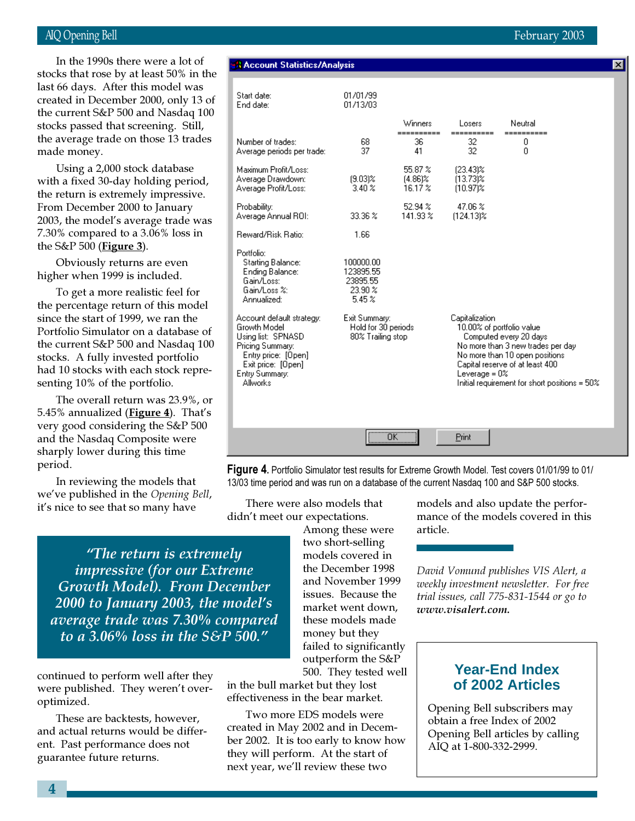#### AIQ Opening Bell February 2003

created in December 2000, only 13 of In the 1990s there were a lot of stocks that rose by at least 50% in the last 66 days. After this model was the current S&P 500 and Nasdaq 100 stocks passed that screening. Still, the average trade on those 13 tra made money.

Using a 2,000 stock database with a fixed 30-day holding peri the return is extremely impressiv From December 2000 to January 2003, the model's average trade  $7.30\%$  compared to a  $3.06\%$  loss the S&P 500 ( $Figure 3$ ).

Obviously returns are even higher when 1999 is included.

To get a more realistic feel for the percentage return of this mo since the start of 1999, we ran the Portfolio Simulator on a database of the current S&P 500 and Nasdaq 100 stocks. A fully invested portfolio had 10 stocks with each stock representing 10% of the portfolio.

The overall return was 23.9%, or 5.45% annualized ( $Figure 4$ ). That's very good considering the S&P 500 and the Nasdaq Composite were sharply lower during this time period.

In reviewing the models that we've published in the Opening Bell, it's nice to see that so many have

| ill,       |                                                                                                 |                                                           | Winners                       | Losers                              | Neutral                                              |
|------------|-------------------------------------------------------------------------------------------------|-----------------------------------------------------------|-------------------------------|-------------------------------------|------------------------------------------------------|
| ades       | Number of trades:<br>Average periods per trade:                                                 | 68<br>37                                                  | 36<br>41                      | 32<br>32                            | 0<br>0                                               |
| .od<br>ve. | Maximum Profit/Loss:<br>Average Drawdown:<br>Average Profit/Loss:                               | $(9.03)$ %<br>$3.40\%$                                    | 55.87 %<br>(4.86)%<br>16.17 % | $[23.43]$ %<br>(13.73)%<br>(10.97)% |                                                      |
| was        | Probability:<br>Average Annual ROI:                                                             | 33.36 %                                                   | 52.94%<br>141.93%             | 47.06 %<br>$(124.13)\%$             |                                                      |
| in         | Reward/Risk Ratio:                                                                              | 1.66                                                      |                               |                                     |                                                      |
| οr<br>del  | Portfolio:<br>Starting Balance:<br>Ending Balance:<br>Gain/Loss:<br>Gain/Loss %:<br>Annualized: | 100000.00<br>123895.55<br>23895.55<br>23.90 %<br>$5.45\%$ |                               |                                     |                                                      |
| e<br>e of  | Account default strategy:<br>Growth Model<br>Using list: SPNASD.                                | Exit Summary:<br>Hold for 30 periods<br>80% Trailing stop |                               | Capitalization                      | 10.00% of portfolio value.<br>Computed every 20 days |

01/01/99

01/13/03

**A Account Statistics/Analysis** 

Start date:

End date:

Pricing Summary:

Entry Summary:

Allworks

Entry price: [Open] Exit price: [Open]

Figure 4. Portfolio Simulator test results for Extreme Growth Model. Test covers 01/01/99 to 01/ 13/03 time period and was run on a database of the current Nasdaq 100 and S&P 500 stocks.

ΰÄ

There were also models that didn't meet our expectations.

"The return is extremely impressive (for our Extreme Growth Model). From December 2000 to January 2003, the model's average trade was 7.30% compared to a 3.06% loss in the S&P 500."

continued to perform well after they were published. They weren't overoptimized.

These are backtests, however, and actual returns would be different. Past performance does not guarantee future returns.

Among these were two short-selling models covered in the December 1998 and November 1999 issues. Because the market went down, these models made money but they failed to significantly outperform the S&P

500. They tested well in the bull market but they lost effectiveness in the bear market.

Two more EDS models were created in May 2002 and in December 2002. It is too early to know how they will perform. At the start of next year, we'll review these two

models and also update the performance of the models covered in this article.

No more than 3 new trades per day

Initial requirement for short positions = 50%

No more than 10 open positions

Capital reserve of at least 400

Leverage =  $0\%$ 

Print

David Vomund publishes VIS Alert, a weekly investment newsletter. For free trial issues, call 775-831-1544 or go to www.visalert.com.

#### **Year-End Index of 2002 Articles**

Opening Bell subscribers may obtain a free Index of 2002 Opening Bell articles by calling AIQ at 1-800-332-2999.

 $\vert x \vert$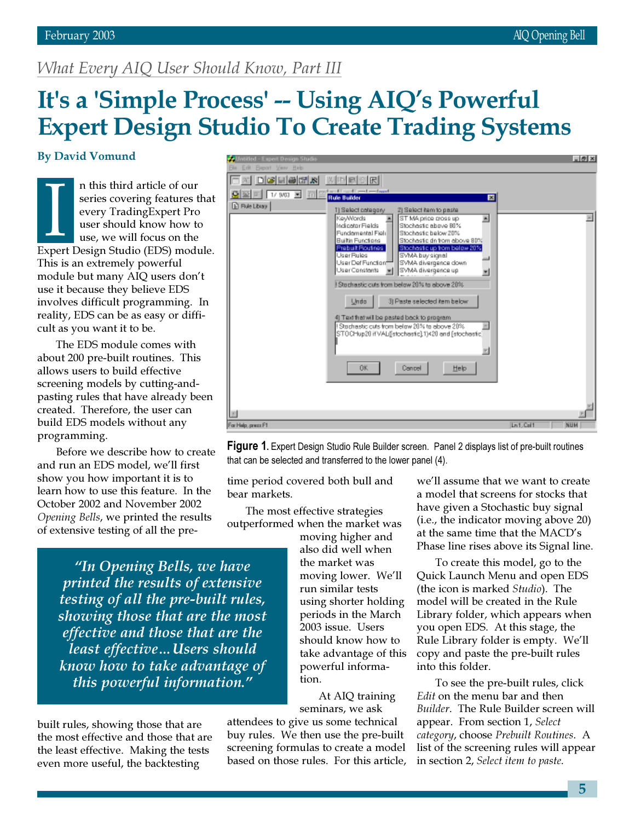## What Every AIQ User Should Know, Part III

# It's a 'Simple Process' -- Using AIQ's Powerful Expert Design Studio To Create Trading Systems

#### By David Vomund

If this time antice of our<br>series covering features that<br>every TradingExpert Pro<br>user should know how to<br>use, we will focus on the<br>Expert Design Studio (EDS) module. n this third article of our series covering features that every TradingExpert Pro user should know how to use, we will focus on the This is an extremely powerful module but many AIQ users don't use it because they believe EDS involves difficult programming. In reality, EDS can be as easy or difficult as you want it to be.

The EDS module comes with about 200 pre-built routines. This allows users to build effective screening models by cutting-andpasting rules that have already been created. Therefore, the user can build EDS models without any programming.

Before we describe how to create and run an EDS model, we'll first show you how important it is to learn how to use this feature. In the October 2002 and November 2002 Opening Bells, we printed the results of extensive testing of all the pre-

 $-0 \times$ 图 口明日刷团图 제메리이터 G 프 F F W R 프 (T) **Rule Builder** ब्र **D** Rile Library 1) Select category 2) Select item to paste **ST MA price cross up** 圖 Ξ KeyWords Indicator Fields Stochestic above 80% Fundamental Field Stochestic below 20% **Builtin Functions** Stochastic dn from above 807 Prebuilt Routines itochastic up from below 20% SVMA buy signal User Def Function SVMA divergence down User Constants M SVMA divergence up 国 Stachastic cuts from below 20% to above 20% Undo 3) Paste selected item below 4) Text fried traded back to program | Stadhestic cuts from below 20% to ebove 20% || || || ||<br>|STOCHup20 it VALi[stochestic] 1)<20 and [stochestic]<br>|| иd **OK** Cancel Help For Help, press F1  $Ln.Col1$ NUM



time period covered both bull and bear markets.

The most effective strategies outperformed when the market was

"In Opening Bells, we have printed the results of extensive testing of all the pre-built rules, showing those that are the most effective and those that are the least effective…Users should know how to take advantage of this powerful information."

built rules, showing those that are the most effective and those that are the least effective. Making the tests even more useful, the backtesting

moving higher and also did well when the market was moving lower. We'll run similar tests using shorter holding periods in the March 2003 issue. Users should know how to take advantage of this powerful information.

At AIQ training seminars, we ask

attendees to give us some technical buy rules. We then use the pre-built screening formulas to create a model based on those rules. For this article, we'll assume that we want to create a model that screens for stocks that have given a Stochastic buy signal (i.e., the indicator moving above 20) at the same time that the MACD's Phase line rises above its Signal line.

To create this model, go to the Quick Launch Menu and open EDS (the icon is marked Studio). The model will be created in the Rule Library folder, which appears when you open EDS. At this stage, the Rule Library folder is empty. We'll copy and paste the pre-built rules into this folder.

To see the pre-built rules, click Edit on the menu bar and then Builder. The Rule Builder screen will appear. From section 1, Select category, choose Prebuilt Routines. A list of the screening rules will appear in section 2, Select item to paste.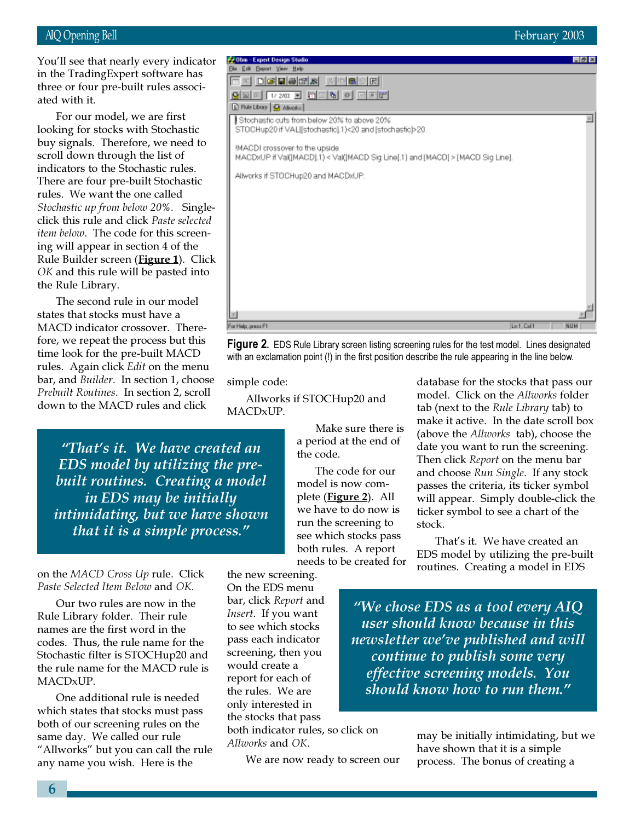You'll see that nearly every indicator in the TradingExpert software has three or four pre-built rules associated with it.

ee or tour pre-built rule<br>d with it.<br>For our model, we are<br>king for stocks with St<br>y signals. Therefore, w<br>oll down through the l For our model, we are first looking for stocks with Stochastic buy signals. Therefore, we need to scroll down through the list of indicators to the Stochastic rules. There are four pre-built Stochastic rules. We want the one called Stochastic up from below 20%. Singleclick this rule and click Paste selected item below. The code for this screening will appear in section 4 of the Rule Builder screen (Figure 1). Click OK and this rule will be pasted into the Rule Library.

The second rule in our model states that stocks must have a MACD indicator crossover. Therefore, we repeat the process but this time look for the pre-built MACD rules. Again click *Edit* on the menu bar, and Builder. In section 1, choose Prebuilt Routines. In section 2, scroll down to the MACD rules and click

"That's it. We have created an EDS model by utilizing the prebuilt routines. Creating a model in EDS may be initially intimidating, but we have shown that it is a simple process."

on the MACD Cross Up rule. Click Paste Selected Item Below and OK.

Our two rules are now in the Rule Library folder. Their rule names are the first word in the codes. Thus, the rule name for the Stochastic filter is STOCHup20 and the rule name for the MACD rule is MACDxUP.

One additional rule is needed which states that stocks must pass both of our screening rules on the same day. We called our rule "Allworks" but you can call the rule any name you wish. Here is the

 $\blacksquare$   $\theta$   $\times$ **Bie Edit Beport View Help** 口对 口呼目呼呼风 医四氯乙因 82 F 120 F 8 2 5 0 2 2 D Rue Library | @ Alivorico | Stochastic cuts from below 20% to above 20% E STOCHup20 if VAL[[stochastic].1)<20 and [stochastic]>20. MACDI crossover to the upside MACDxUP if Val(IMACD).1) < Val(IMACD Sig Line[.1] and [MACD] > [MACD Sig Line]. Allworks if STOCHup20 and MACDxUP.

For Help, press Ft

**Figure 2.** EDS Rule Library screen listing screening rules for the test model. Lines designated with an exclamation point (!) in the first position describe the rule appearing in the line below.

simple code:

Allworks if STOCHup20 and MACDxUP.

> Make sure there is a period at the end of the code.

The code for our model is now complete (Figure 2). All we have to do now is run the screening to see which stocks pass both rules. A report needs to be created for database for the stocks that pass our model. Click on the Allworks folder tab (next to the Rule Library tab) to make it active. In the date scroll box (above the Allworks tab), choose the date you want to run the screening. Then click Report on the menu bar and choose Run Single. If any stock passes the criteria, its ticker symbol will appear. Simply double-click the ticker symbol to see a chart of the stock.

Ln1, Col1

That's it. We have created an EDS model by utilizing the pre-built routines. Creating a model in EDS

"We chose EDS as a tool every AIQ user should know because in this newsletter we've published and will continue to publish some very effective screening models. You should know how to run them."

We are now ready to screen our

both indicator rules, so click on

may be initially intimidating, but we have shown that it is a simple process. The bonus of creating a

the new screening. On the EDS menu bar, click Report and Insert. If you want to see which stocks pass each indicator screening, then you would create a report for each of the rules. We are only interested in the stocks that pass

Allworks and OK.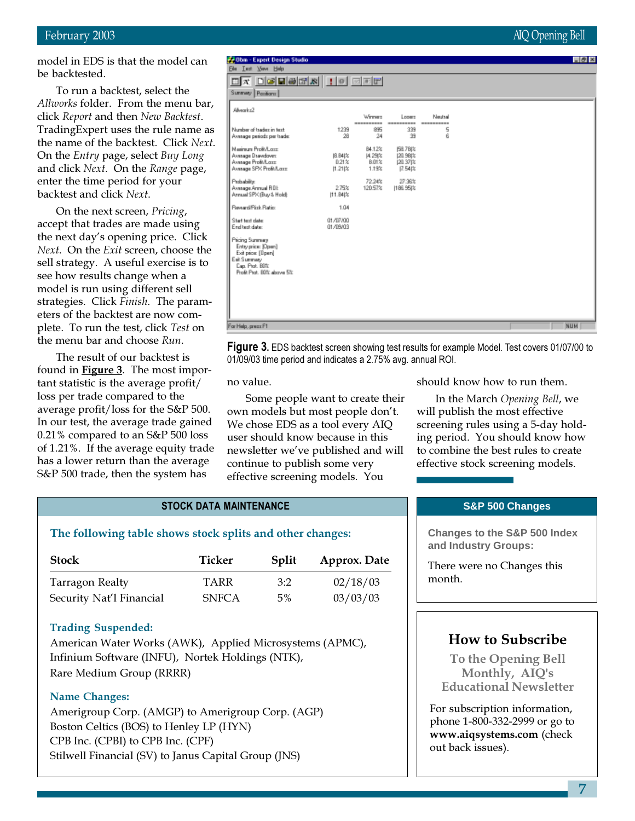model in EDS is that the model can be backtested.

To run a backtest, select the Allworks folder. From the menu bar, click Report and then New Backtest. TradingExpert uses the rule name as the name of the backtest. Click Next. On the Entry page, select Buy Long and click Next. On the Range page, enter the time period for your backtest and click Next.

On the next screen, Pricing, accept that trades are made using the next day's opening price. Click Next. On the Exit screen, choose the sell strategy. A useful exercise is to see how results change when a model is run using different sell strategies. Click Finish. The parameters of the backtest are now complete. To run the test, click Test on the menu bar and choose Run.

The result of our backtest is found in **Figure 3**. The most important statistic is the average profit/ loss per trade compared to the average profit/loss for the S&P 500. In our test, the average trade gained 0.21% compared to an S&P 500 loss of 1.21%. If the average equity trade has a lower return than the average S&P 500 trade, then the system has

#### <u>dx dclescri io eel</u> Summary Pasitions | Allwarks2 Looms Winner: Neutral Number of tradez in text 1239 895 339 ç, Average periods per trade 39 24 Ř Maginum Profit/Long B4.12% 68,78t% Avenage Drawdown<br>Avenage Profit/Long 20.98 % 阻 B4|站 [4.29]% 0.21% 8.01% 120.37(% Average SPX Profit/Lass  $[1.21]$ % 1.19%  $[7.54]$ % 27.36% Pobability 72.24% .<br>Avenage Annual ROI:<br>Annual SPX (Buy & Hold): 9.79% (186.95)% 120.57% [11.84(%) ward/Pisk Ratio 1.04 Start text clate 01/07/00 End test date 01/09/03 Pricing Summary Entryprice: [Open] Exit price: [Bpan]

#### Figure 3. EDS backtest screen showing test results for example Model. Test covers 01/07/00 to 01/09/03 time period and indicates a 2.75% avg. annual ROI. no value. Some people want to create their own models but most people don't. We chose EDS as a tool every AIQ user should know because in this newsletter we've published and will continue to publish some very effective screening models. You

**Dom - Expert Design Studio** 

**Bie Let Yow Help** 

Eat Summary<br>Eap Prot. 80% Profit Prof. BDV above 5%

For Help, press Ft

should know how to run them.

In the March Opening Bell, we will publish the most effective screening rules using a 5-day holding period. You should know how to combine the best rules to create effective stock screening models.

#### STOCK DATA MAINTENANCE

#### The following table shows stock splits and other changes:

| <b>Stock</b>             | Ticker       | Split | Approx. Date |
|--------------------------|--------------|-------|--------------|
| Tarragon Realty          | TARR         | 3:2   | 02/18/03     |
| Security Nat'l Financial | <b>SNFCA</b> | 5%    | 03/03/03     |

#### Trading Suspended:

American Water Works (AWK), Applied Microsystems (APMC), Infinium Software (INFU), Nortek Holdings (NTK), Rare Medium Group (RRRR)

#### Name Changes:

Amerigroup Corp. (AMGP) to Amerigroup Corp. (AGP) Boston Celtics (BOS) to Henley LP (HYN) CPB Inc. (CPBI) to CPB Inc. (CPF) Stilwell Financial (SV) to Janus Capital Group (JNS)

#### **S&P 500 Changes**

**Changes to the S&P 500 Index and Industry Groups:**

There were no Changes this month.

#### How to Subscribe

To the Opening Bell Monthly, AIQ's Educational Newsletter

For subscription information, phone 1-800-332-2999 or go to www.aiqsystems.com (check out back issues).

#### February 2003 AIQ Opening Bell

NUM